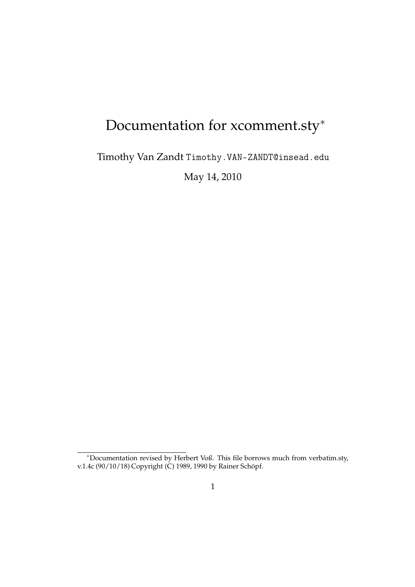# Documentation for xcomment.sty<sup>\*</sup>

Timothy Van Zandt Timothy.VAN-ZANDT@insead.edu

May 14, 2010

<sup>∗</sup>Documentation revised by Herbert Voß. This file borrows much from verbatim.sty, v.1.4c (90/10/18) Copyright (C) 1989, 1990 by Rainer Schöpf.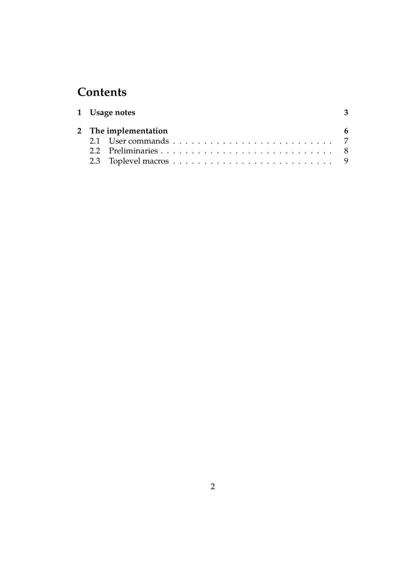## **Contents**

|  | 1 Usage notes        | -3 |
|--|----------------------|----|
|  | 2 The implementation |    |
|  |                      |    |
|  |                      |    |
|  |                      |    |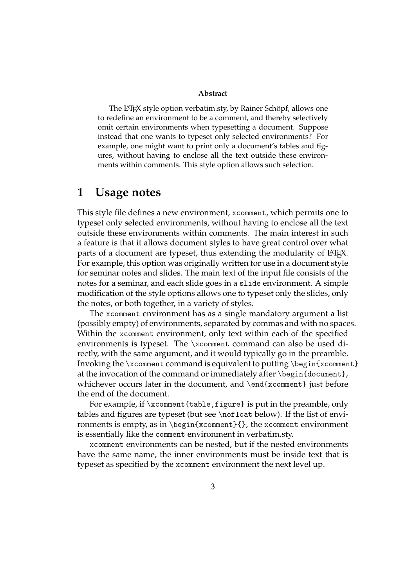#### **Abstract**

The LATEX style option verbatim.sty, by Rainer Schöpf, allows one to redefine an environment to be a comment, and thereby selectively omit certain environments when typesetting a document. Suppose instead that one wants to typeset only selected environments? For example, one might want to print only a document's tables and figures, without having to enclose all the text outside these environments within comments. This style option allows such selection.

## **1 Usage notes**

This style file defines a new environment, xcomment, which permits one to typeset only selected environments, without having to enclose all the text outside these environments within comments. The main interest in such a feature is that it allows document styles to have great control over what parts of a document are typeset, thus extending the modularity of LAT<sub>E</sub>X. For example, this option was originally written for use in a document style for seminar notes and slides. The main text of the input file consists of the notes for a seminar, and each slide goes in a slide environment. A simple modification of the style options allows one to typeset only the slides, only the notes, or both together, in a variety of styles.

The xcomment environment has as a single mandatory argument a list (possibly empty) of environments, separated by commas and with no spaces. Within the xcomment environment, only text within each of the specified environments is typeset. The \xcomment command can also be used directly, with the same argument, and it would typically go in the preamble. Invoking the  $\x>$ comment command is equivalent to putting  $\begin{array}{c} \begin{array}{c} \end{array}$ at the invocation of the command or immediately after \begin{document}, whichever occurs later in the document, and \end{xcomment} just before the end of the document.

For example, if \xcomment{table,figure} is put in the preamble, only tables and figures are typeset (but see \nofloat below). If the list of environments is empty, as in  $\begin{array}{c}$  (xcomment {}, the xcomment environment is essentially like the comment environment in verbatim.sty.

xcomment environments can be nested, but if the nested environments have the same name, the inner environments must be inside text that is typeset as specified by the xcomment environment the next level up.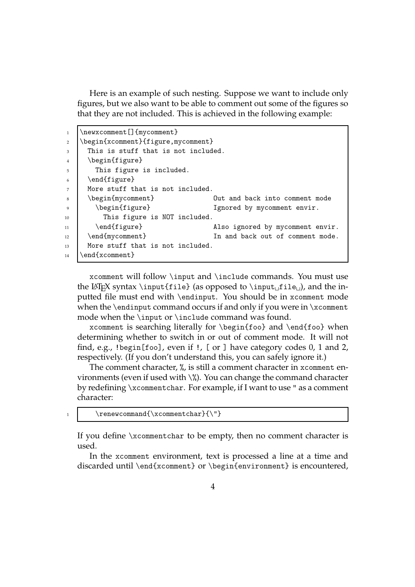Here is an example of such nesting. Suppose we want to include only figures, but we also want to be able to comment out some of the figures so that they are not included. This is achieved in the following example:

| $\mathbf{1}$   | \newxcomment [] {mycomment}         |                                  |  |  |
|----------------|-------------------------------------|----------------------------------|--|--|
| 2              | \begin{xcomment}{figure,mycomment}  |                                  |  |  |
| 3              | This is stuff that is not included. |                                  |  |  |
| $\overline{4}$ | \begin{figure}                      |                                  |  |  |
| 5              | This figure is included.            |                                  |  |  |
| 6              | \end{figure}                        |                                  |  |  |
| 7              | More stuff that is not included.    |                                  |  |  |
| 8              | \begin{mycomment}                   | Out and back into comment mode   |  |  |
| 9              | \begin{figure}                      | Ignored by mycomment envir.      |  |  |
| 10             | This figure is NOT included.        |                                  |  |  |
| 11             | \end{figure}                        | Also ignored by mycomment envir. |  |  |
| 12             | \end{mycomment}                     | In and back out of comment mode. |  |  |
| 13             | More stuff that is not included.    |                                  |  |  |
| 14             | $\end{normal}$                      |                                  |  |  |

xcomment will follow \input and \include commands. You must use the LAT<sub>E</sub>X syntax \input{file} (as opposed to \input<sub>u</sub>file<sub>u</sub>), and the inputted file must end with \endinput. You should be in xcomment mode when the \endinput command occurs if and only if you were in \xcomment mode when the \input or \include command was found.

xcomment is searching literally for \begin{foo} and \end{foo} when determining whether to switch in or out of comment mode. It will not find, e.g., !begin[foo], even if !, [ or ] have category codes 0, 1 and 2, respectively. (If you don't understand this, you can safely ignore it.)

The comment character, %, is still a comment character in xcomment environments (even if used with  $\langle \hat{\chi} \rangle$ ). You can change the command character by redefining \xcommentchar. For example, if I want to use " as a comment character:

```
1 \text{renewcommand}\{\xcommentchar}\
```
If you define \xcommentchar to be empty, then no comment character is used.

In the xcomment environment, text is processed a line at a time and discarded until \end{xcomment} or \begin{environment} is encountered,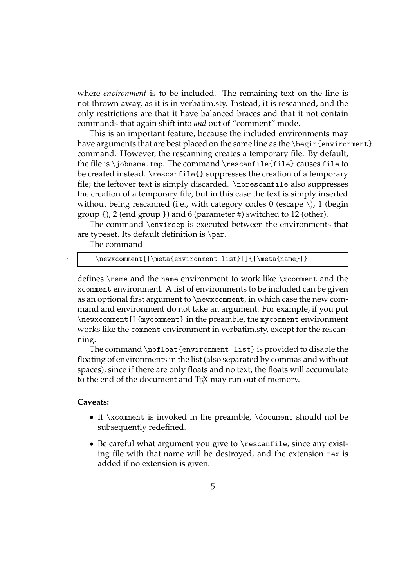where *environment* is to be included. The remaining text on the line is not thrown away, as it is in verbatim.sty. Instead, it is rescanned, and the only restrictions are that it have balanced braces and that it not contain commands that again shift into *and* out of "comment" mode.

This is an important feature, because the included environments may have arguments that are best placed on the same line as the \begin{environment} command. However, the rescanning creates a temporary file. By default, the file is \jobname.tmp. The command \rescanfile{file} causes file to be created instead. \rescanfile{} suppresses the creation of a temporary file; the leftover text is simply discarded. \norescanfile also suppresses the creation of a temporary file, but in this case the text is simply inserted without being rescanned (i.e., with category codes  $0$  (escape  $\setminus$ ), 1 (begin group {), 2 (end group }) and 6 (parameter #) switched to 12 (other).

The command \envirsep is executed between the environments that are typeset. Its default definition is \par.

The command

#### 1 \newxcomment[|\meta{environment list}|]{|\meta{name}|}

defines \name and the name environment to work like \xcomment and the xcomment environment. A list of environments to be included can be given as an optional first argument to \newxcomment, in which case the new command and environment do not take an argument. For example, if you put \newxcomment[]{mycomment} in the preamble, the mycomment environment works like the comment environment in verbatim.sty, except for the rescanning.

The command \nofloat{environment list} is provided to disable the floating of environments in the list (also separated by commas and without spaces), since if there are only floats and no text, the floats will accumulate to the end of the document and T<sub>F</sub>X may run out of memory.

#### **Caveats:**

- If \xcomment is invoked in the preamble, \document should not be subsequently redefined.
- Be careful what argument you give to \rescanfile, since any existing file with that name will be destroyed, and the extension tex is added if no extension is given.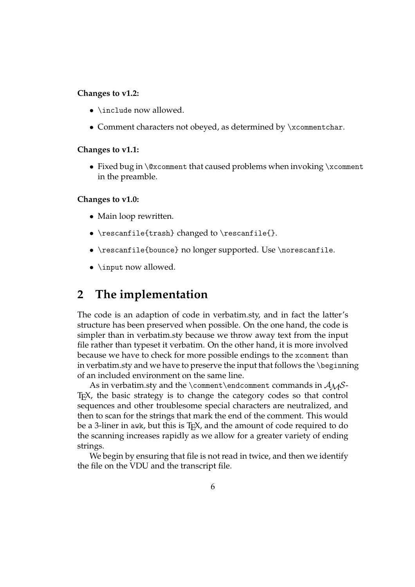#### **Changes to v1.2:**

- **\include now allowed.**
- Comment characters not obeyed, as determined by \xcommentchar.

#### **Changes to v1.1:**

• Fixed bug in \@xcomment that caused problems when invoking \xcomment in the preamble.

#### **Changes to v1.0:**

- Main loop rewritten.
- \rescanfile{trash} changed to \rescanfile{}.
- \rescanfile{bounce} no longer supported. Use \norescanfile.
- \input now allowed.

## **2 The implementation**

The code is an adaption of code in verbatim.sty, and in fact the latter's structure has been preserved when possible. On the one hand, the code is simpler than in verbatim.sty because we throw away text from the input file rather than typeset it verbatim. On the other hand, it is more involved because we have to check for more possible endings to the xcomment than in verbatim.sty and we have to preserve the input that follows the \beginning of an included environment on the same line.

As in verbatim.sty and the \comment\endcomment commands in  $A_{\mathcal{M}}\mathcal{S}$ -T<sub>E</sub>X, the basic strategy is to change the category codes so that control sequences and other troublesome special characters are neutralized, and then to scan for the strings that mark the end of the comment. This would be a 3-liner in awk, but this is  $T<sub>F</sub>X$ , and the amount of code required to do the scanning increases rapidly as we allow for a greater variety of ending strings.

We begin by ensuring that file is not read in twice, and then we identify the file on the VDU and the transcript file.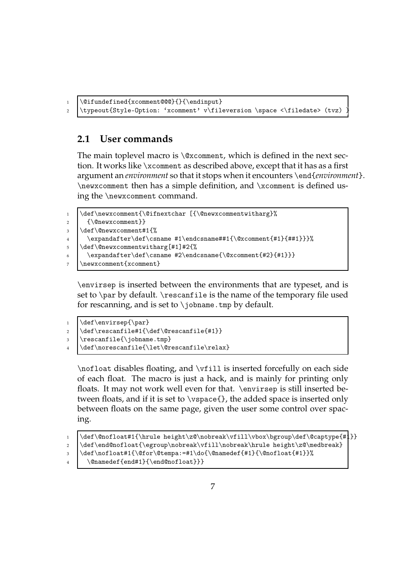```
1 \@ifundefined{xcomment@@@}{}{\endinput}
2 \typeout{Style-Option: 'xcomment' v\fileversion \space <\filedate> (tvz)
```
## **2.1 User commands**

The main toplevel macro is \@xcomment, which is defined in the next section. It works like \xcomment as described above, except that it has as a first argument an *environment* so that it stops when it encounters \end{*environment*}. \newxcomment then has a simple definition, and \xcomment is defined using the \newxcomment command.

```
1 \def\newxcomment{\@ifnextchar [{\@newxcommentwitharg}%
2 {\@newxcomment}}
3 \def\@newxcomment#1{%
4 \expandafter\def\csname #1\endcsname##1{\@xcomment{#1}{##1}}}%
5 \def\@newxcommentwitharg[#1]#2{%
6 \backslash expandafter\def\csname #2\endcsname{\@xcomment{#2}{#1}}}
7 \newxcomment{xcomment}
```
\envirsep is inserted between the environments that are typeset, and is set to \par by default. \rescanfile is the name of the temporary file used for rescanning, and is set to  $\iota$  jobname.tmp by default.

```
1 \def\envirsep{\par}
```

```
\alpha \def\rescanfile#1{\def\@rescanfile{#1}}
```

```
3 \rescanfile{\jobname.tmp}
```

```
4 \def\norescanfile{\let\@rescanfile\relax}
```
\nofloat disables floating, and \vfill is inserted forcefully on each side of each float. The macro is just a hack, and is mainly for printing only floats. It may not work well even for that. \envirsep is still inserted between floats, and if it is set to \vspace{}, the added space is inserted only between floats on the same page, given the user some control over spacing.

```
1 \def\@nofloat#1{\hrule height\z@\nobreak\vfill\vbox\bgroup\def\@captype{#1}}
2 \def\end@nofloat{\egroup\nobreak\vfill\nobreak\hrule height\z@\medbreak}
\delta \def\nofloat#1{\@for\@tempa:=#1\do{\@namedef{#1}{\@nofloat{#1}}%
4 \@namedef{end#1}{\end@nofloat}}}
```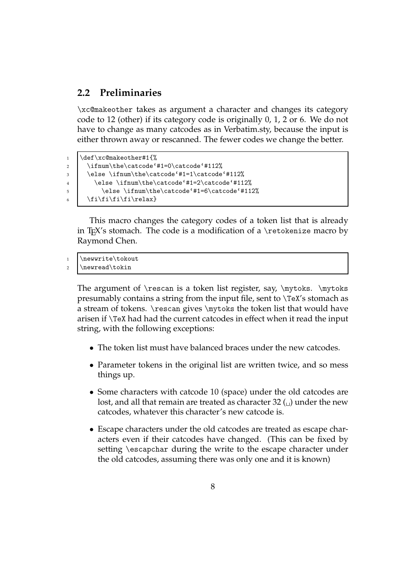### **2.2 Preliminaries**

\xc@makeother takes as argument a character and changes its category code to 12 (other) if its category code is originally 0, 1, 2 or 6. We do not have to change as many catcodes as in Verbatim.sty, because the input is either thrown away or rescanned. The fewer codes we change the better.

```
1 \def\xc@makeother#1{%
2 \ifnum\the\catcode'#1=0\catcode'#112%
3 \else \ifnum\the\catcode'#1=1\catcode'#112%
4 \else \ifnum\the\catcode'#1=2\catcode'#112%
5 \else \ifnum\the\catcode'#1=6\catcode'#112%
6 \ti\fi\fi\fi\relax}
```
This macro changes the category codes of a token list that is already in T<sub>E</sub>X's stomach. The code is a modification of a  $\iota$  retokenize macro by Raymond Chen.

```
1 \newwrite\tokout
2 \newread\tokin
```
The argument of  $rescan$  is a token list register, say,  $mytoks$ .  $mytoks$ presumably contains a string from the input file, sent to \TeX's stomach as a stream of tokens. \rescan gives \mytoks the token list that would have arisen if \TeX had had the current catcodes in effect when it read the input string, with the following exceptions:

- The token list must have balanced braces under the new catcodes.
- Parameter tokens in the original list are written twice, and so mess things up.
- Some characters with catcode 10 (space) under the old catcodes are lost, and all that remain are treated as character 32  $\omega$  under the new catcodes, whatever this character's new catcode is.
- Escape characters under the old catcodes are treated as escape characters even if their catcodes have changed. (This can be fixed by setting \escapchar during the write to the escape character under the old catcodes, assuming there was only one and it is known)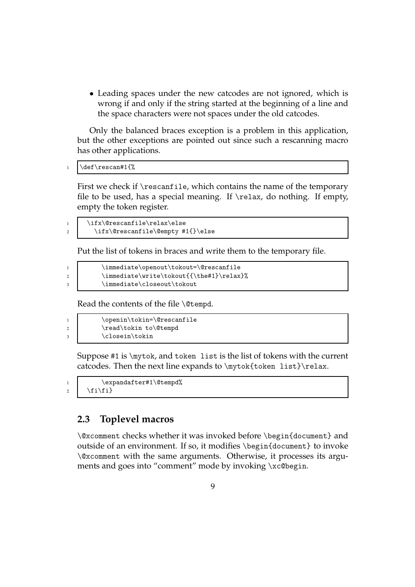• Leading spaces under the new catcodes are not ignored, which is wrong if and only if the string started at the beginning of a line and the space characters were not spaces under the old catcodes.

Only the balanced braces exception is a problem in this application, but the other exceptions are pointed out since such a rescanning macro has other applications.

```
1 \def\rescan#1{%
```
First we check if \rescanfile, which contains the name of the temporary file to be used, has a special meaning. If  $\relax \ldots$  do nothing. If empty, empty the token register.

1 \ifx\@rescanfile\relax\else 2 \ifx\@rescanfile\@empty #1{}\else

Put the list of tokens in braces and write them to the temporary file.

```
1 \immediate\openout\tokout=\@rescanfile
2 \immediate\write\tokout{{\the#1}\relax}%
3 \immediate\closeout\tokout
```
Read the contents of the file \@tempd.

```
1 \openin\tokin=\@rescanfile
2 \read\tokin to\@tempd
3 \closein\tokin
```
Suppose #1 is \mytok, and token list is the list of tokens with the current catcodes. Then the next line expands to \mytok{token list}\relax.

1 \expandafter#1\@tempd% 2  $\left\{\n \begin{array}{c}\n 2 \\
 \end{array}\n \right\}$ 

## **2.3 Toplevel macros**

\@xcomment checks whether it was invoked before \begin{document} and outside of an environment. If so, it modifies \begin{document} to invoke \@xcomment with the same arguments. Otherwise, it processes its arguments and goes into "comment" mode by invoking \xc@begin.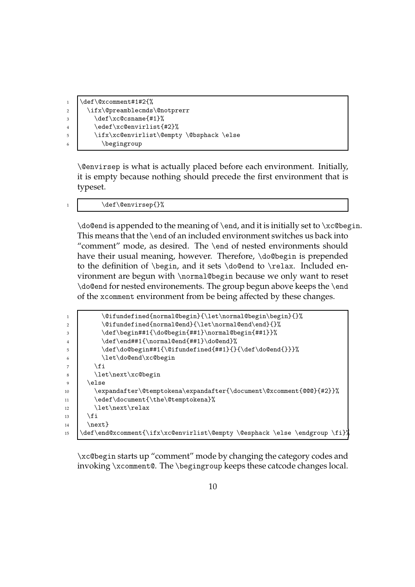```
1 \text{Qxcomment#1#2{}%2 \ifx\@preamblecmds\@notprerr
3 \def\xc@csname{#1}%
4 \edef\xc@envirlist{#2}%
5 \ifx\xc@envirlist\@empty \@bsphack \else
6 \begingroup
```
\@envirsep is what is actually placed before each environment. Initially, it is empty because nothing should precede the first environment that is typeset.

#### \def\@envirsep{}%

\do@end is appended to the meaning of \end, and it is initially set to \xc@begin. This means that the \end of an included environment switches us back into "comment" mode, as desired. The \end of nested environments should have their usual meaning, however. Therefore, \do@begin is prepended to the definition of \begin, and it sets \do@end to \relax. Included environment are begun with \normal@begin because we only want to reset \do@end for nested environements. The group begun above keeps the \end of the xcomment environment from be being affected by these changes.

```
1 \@ifundefined{normal@begin}{\let\normal@begin\begin}{}%
2 \@ifundefined{normal@end}{\let\normal@end\end}{}%
3 \def\begin##1{\do@begin{##1}\normal@begin{##1}}%
4 \def\end##1{\normal@end{##1}\do@end}%
5 \def\do@begin##1{\@ifundefined{##1}{}{\def\do@end{}}}%
6 \let\do@end\xc@begin
7 \mid \mathbf{ifi}8 \let\next\xc@begin
9 \mid \text{else}10 \expandafter\@temptokena\expandafter{\document\@xcomment{@@@}{#2}}%
11 \edef\document{\the\@temptokena}%
12 \let\next\relax
13 | \fi
14 \next}
15 \def\end@xcomment{\ifx\xc@envirlist\@empty \@esphack \else \endgroup \fi}}
```
\xc@begin starts up "comment" mode by changing the category codes and invoking \xcomment@. The \begingroup keeps these catcode changes local.